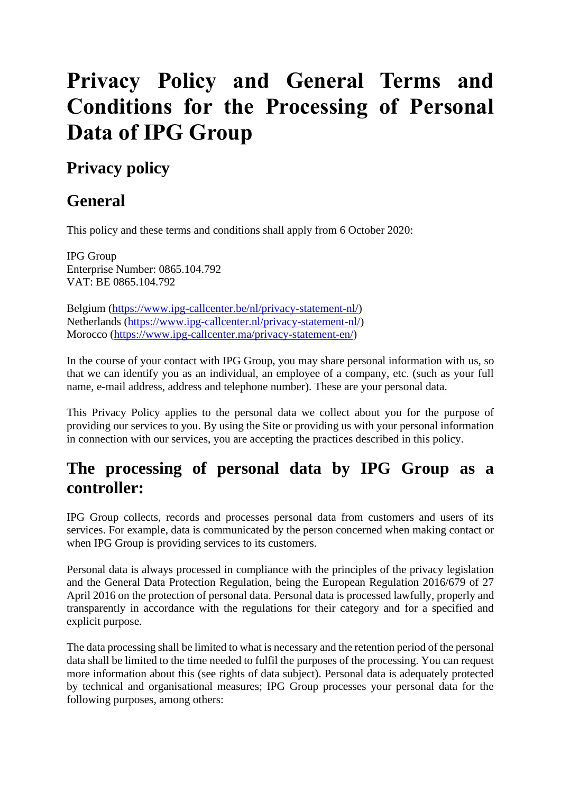# **Privacy Policy and General Terms and Conditions for the Processing of Personal Data of IPG Group**

# **Privacy policy**

# **General**

This policy and these terms and conditions shall apply from 6 October 2020:

IPG Group Enterprise Number: 0865.104.792 VAT: BE 0865.104.792

Belgium [\(https://www.ipg-callcenter.be/nl/privacy-statement-nl/\)](https://www.ipg-callcenter.be/nl/privacy-statement-nl/) Netherlands [\(https://www.ipg-callcenter.nl/privacy-statement-nl/\)](https://www.ipg-callcenter.nl/privacy-statement-nl/) Morocco [\(https://www.ipg-callcenter.ma/privacy-statement-en/\)](https://www.ipg-callcenter.ma/privacy-statement-en/)

In the course of your contact with IPG Group, you may share personal information with us, so that we can identify you as an individual, an employee of a company, etc. (such as your full name, e-mail address, address and telephone number). These are your personal data.

This Privacy Policy applies to the personal data we collect about you for the purpose of providing our services to you. By using the Site or providing us with your personal information in connection with our services, you are accepting the practices described in this policy.

# **The processing of personal data by IPG Group as a controller:**

IPG Group collects, records and processes personal data from customers and users of its services. For example, data is communicated by the person concerned when making contact or when IPG Group is providing services to its customers.

Personal data is always processed in compliance with the principles of the privacy legislation and the General Data Protection Regulation, being the European Regulation 2016/679 of 27 April 2016 on the protection of personal data. Personal data is processed lawfully, properly and transparently in accordance with the regulations for their category and for a specified and explicit purpose.

The data processing shall be limited to what is necessary and the retention period of the personal data shall be limited to the time needed to fulfil the purposes of the processing. You can request more information about this (see rights of data subject). Personal data is adequately protected by technical and organisational measures; IPG Group processes your personal data for the following purposes, among others: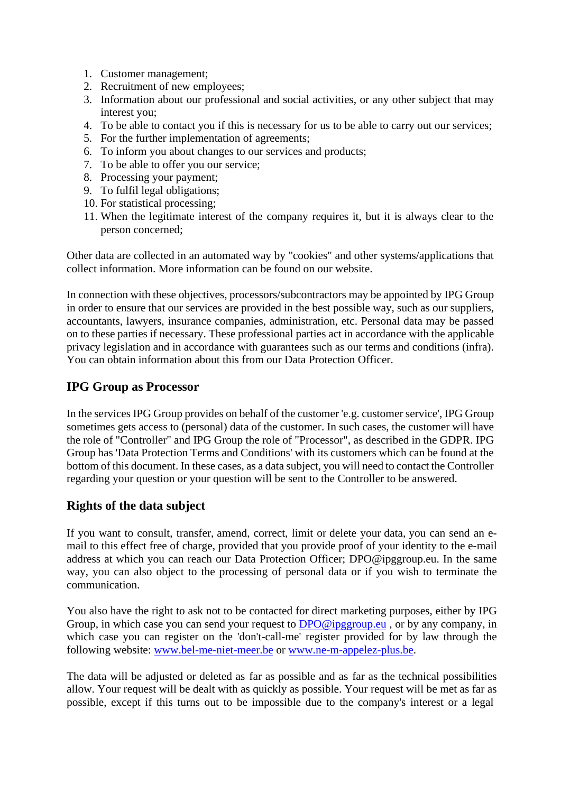- 1. Customer management;
- 2. Recruitment of new employees;
- 3. Information about our professional and social activities, or any other subject that may interest you;
- 4. To be able to contact you if this is necessary for us to be able to carry out our services;
- 5. For the further implementation of agreements;
- 6. To inform you about changes to our services and products;
- 7. To be able to offer you our service;
- 8. Processing your payment;
- 9. To fulfil legal obligations;
- 10. For statistical processing;
- 11. When the legitimate interest of the company requires it, but it is always clear to the person concerned;

Other data are collected in an automated way by "cookies" and other systems/applications that collect information. More information can be found on our website.

In connection with these objectives, processors/subcontractors may be appointed by IPG Group in order to ensure that our services are provided in the best possible way, such as our suppliers, accountants, lawyers, insurance companies, administration, etc. Personal data may be passed on to these parties if necessary. These professional parties act in accordance with the applicable privacy legislation and in accordance with guarantees such as our terms and conditions (infra). You can obtain information about this from our Data Protection Officer.

#### **IPG Group as Processor**

In the services IPG Group provides on behalf of the customer 'e.g. customer service', IPG Group sometimes gets access to (personal) data of the customer. In such cases, the customer will have the role of "Controller" and IPG Group the role of "Processor", as described in the GDPR. IPG Group has 'Data Protection Terms and Conditions' with its customers which can be found at the bottom of this document. In these cases, as a data subject, you will need to contact the Controller regarding your question or your question will be sent to the Controller to be answered.

#### **Rights of the data subject**

If you want to consult, transfer, amend, correct, limit or delete your data, you can send an email to this effect free of charge, provided that you provide proof of your identity to the e-mail address at which you can reach our Data Protection Officer; DPO@ipggroup.eu. In the same way, you can also object to the processing of personal data or if you wish to terminate the communication.

You also have the right to ask not to be contacted for direct marketing purposes, either by IPG Group, in which case you can send your request to DPO@ipggroup.eu, or by any company, in which case you can register on the 'don't-call-me' register provided for by law through the following website: www.bel-me-niet-meer.be or www.ne-m-appelez-plus.be.

The data will be a[djusted or deleted as far as](http://www.bel-me-niet-meer.be/) p[ossible and as far as the tech](http://www.ne-m-appelez-plus.be/)nical possibilities allow. Your request will be dealt with as quickly as possible. Your request will be met as far as possible, except if this turns out to be impossible due to the company's interest or a legal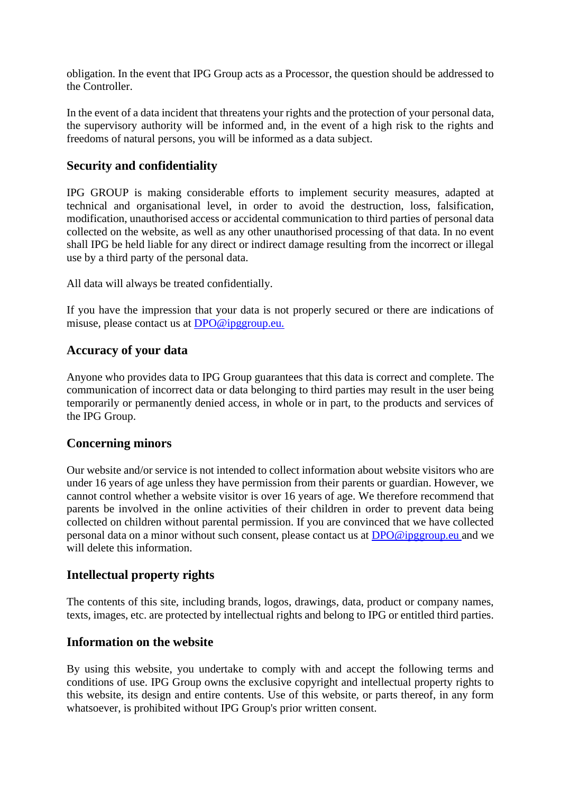obligation. In the event that IPG Group acts as a Processor, the question should be addressed to the Controller.

In the event of a data incident that threatens your rights and the protection of your personal data, the supervisory authority will be informed and, in the event of a high risk to the rights and freedoms of natural persons, you will be informed as a data subject.

#### **Security and confidentiality**

IPG GROUP is making considerable efforts to implement security measures, adapted at technical and organisational level, in order to avoid the destruction, loss, falsification, modification, unauthorised access or accidental communication to third parties of personal data collected on the website, as well as any other unauthorised processing of that data. In no event shall IPG be held liable for any direct or indirect damage resulting from the incorrect or illegal use by a third party of the personal data.

All data will always be treated confidentially.

If you have the impression that your data is not properly secured or there are indications of misuse, please contact us at **DPO@ipggroup.eu.** 

#### **Accuracy of your data**

Anyone who provides data to IPG Group guarantees that this data is correct and complete. The communication of incorrect data or data belonging to third parties may result in the user being temporarily or permanently denied access, in whole or in part, to the products and services of the IPG Group.

#### **Concerning minors**

Our website and/or service is not intended to collect information about website visitors who are under 16 years of age unless they have permission from their parents or guardian. However, we cannot control whether a website visitor is over 16 years of age. We therefore recommend that parents be involved in the online activities of their children in order to prevent data being collected on children without parental permission. If you are convinced that we have collected personal data on a minor without such consent, please contact us at [DPO@ipggroup.eu a](mailto:DPO@ipggroup.eu)nd we will delete this information.

#### **Intellectual property rights**

The contents of this site, including brands, logos, drawings, data, product or company names, texts, images, etc. are protected by intellectual rights and belong to IPG or entitled third parties.

#### **Information on the website**

By using this website, you undertake to comply with and accept the following terms and conditions of use. IPG Group owns the exclusive copyright and intellectual property rights to this website, its design and entire contents. Use of this website, or parts thereof, in any form whatsoever, is prohibited without IPG Group's prior written consent.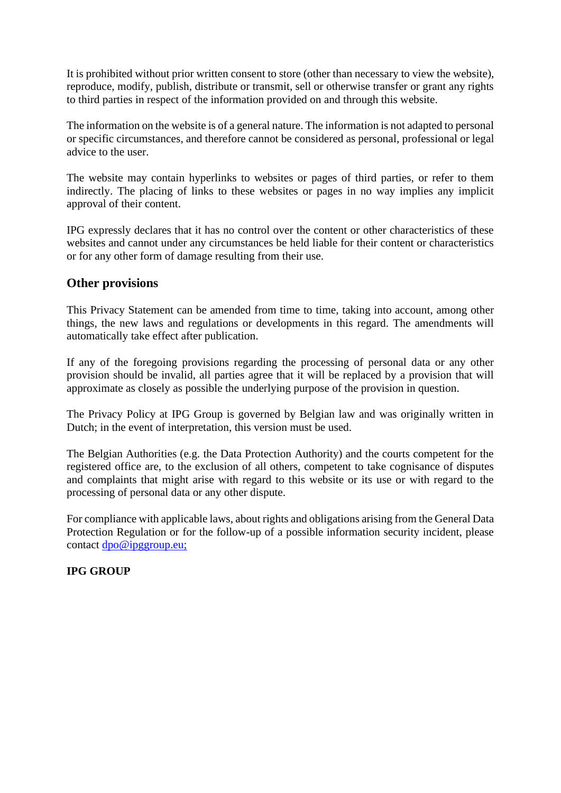It is prohibited without prior written consent to store (other than necessary to view the website), reproduce, modify, publish, distribute or transmit, sell or otherwise transfer or grant any rights to third parties in respect of the information provided on and through this website.

The information on the website is of a general nature. The information is not adapted to personal or specific circumstances, and therefore cannot be considered as personal, professional or legal advice to the user.

The website may contain hyperlinks to websites or pages of third parties, or refer to them indirectly. The placing of links to these websites or pages in no way implies any implicit approval of their content.

IPG expressly declares that it has no control over the content or other characteristics of these websites and cannot under any circumstances be held liable for their content or characteristics or for any other form of damage resulting from their use.

#### **Other provisions**

This Privacy Statement can be amended from time to time, taking into account, among other things, the new laws and regulations or developments in this regard. The amendments will automatically take effect after publication.

If any of the foregoing provisions regarding the processing of personal data or any other provision should be invalid, all parties agree that it will be replaced by a provision that will approximate as closely as possible the underlying purpose of the provision in question.

The Privacy Policy at IPG Group is governed by Belgian law and was originally written in Dutch; in the event of interpretation, this version must be used.

The Belgian Authorities (e.g. the Data Protection Authority) and the courts competent for the registered office are, to the exclusion of all others, competent to take cognisance of disputes and complaints that might arise with regard to this website or its use or with regard to the processing of personal data or any other dispute.

For compliance with applicable laws, about rights and obligations arising from the General Data Protection Regulation or for the follow-up of a possible information security incident, please contact [dpo@ipggroup.eu;](mailto:dpo@ipggroup.eu) 

#### **IPG GROUP**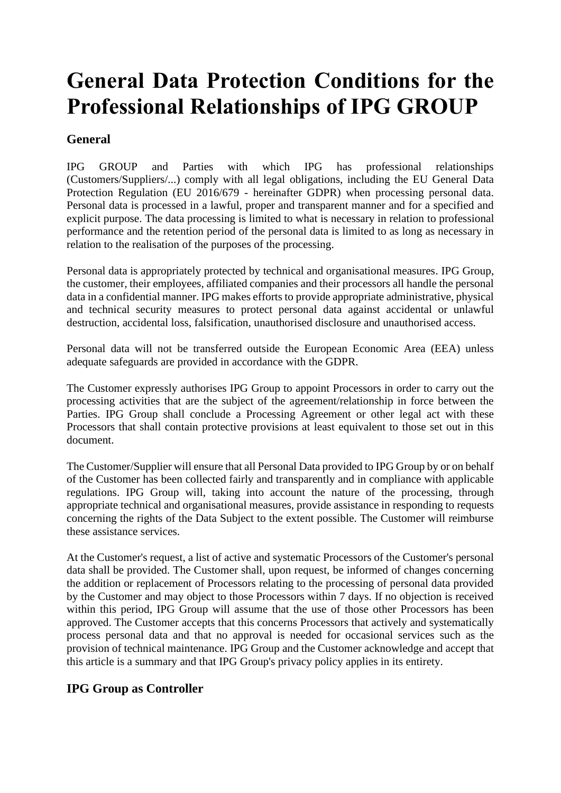# **General Data Protection Conditions for the Professional Relationships of IPG GROUP**

# **General**

IPG GROUP and Parties with which IPG has professional relationships (Customers/Suppliers/...) comply with all legal obligations, including the EU General Data Protection Regulation (EU 2016/679 - hereinafter GDPR) when processing personal data. Personal data is processed in a lawful, proper and transparent manner and for a specified and explicit purpose. The data processing is limited to what is necessary in relation to professional performance and the retention period of the personal data is limited to as long as necessary in relation to the realisation of the purposes of the processing.

Personal data is appropriately protected by technical and organisational measures. IPG Group, the customer, their employees, affiliated companies and their processors all handle the personal data in a confidential manner. IPG makes efforts to provide appropriate administrative, physical and technical security measures to protect personal data against accidental or unlawful destruction, accidental loss, falsification, unauthorised disclosure and unauthorised access.

Personal data will not be transferred outside the European Economic Area (EEA) unless adequate safeguards are provided in accordance with the GDPR.

The Customer expressly authorises IPG Group to appoint Processors in order to carry out the processing activities that are the subject of the agreement/relationship in force between the Parties. IPG Group shall conclude a Processing Agreement or other legal act with these Processors that shall contain protective provisions at least equivalent to those set out in this document.

The Customer/Supplier will ensure that all Personal Data provided to IPG Group by or on behalf of the Customer has been collected fairly and transparently and in compliance with applicable regulations. IPG Group will, taking into account the nature of the processing, through appropriate technical and organisational measures, provide assistance in responding to requests concerning the rights of the Data Subject to the extent possible. The Customer will reimburse these assistance services.

At the Customer's request, a list of active and systematic Processors of the Customer's personal data shall be provided. The Customer shall, upon request, be informed of changes concerning the addition or replacement of Processors relating to the processing of personal data provided by the Customer and may object to those Processors within 7 days. If no objection is received within this period, IPG Group will assume that the use of those other Processors has been approved. The Customer accepts that this concerns Processors that actively and systematically process personal data and that no approval is needed for occasional services such as the provision of technical maintenance. IPG Group and the Customer acknowledge and accept that this article is a summary and that IPG Group's privacy policy applies in its entirety.

## **IPG Group as Controller**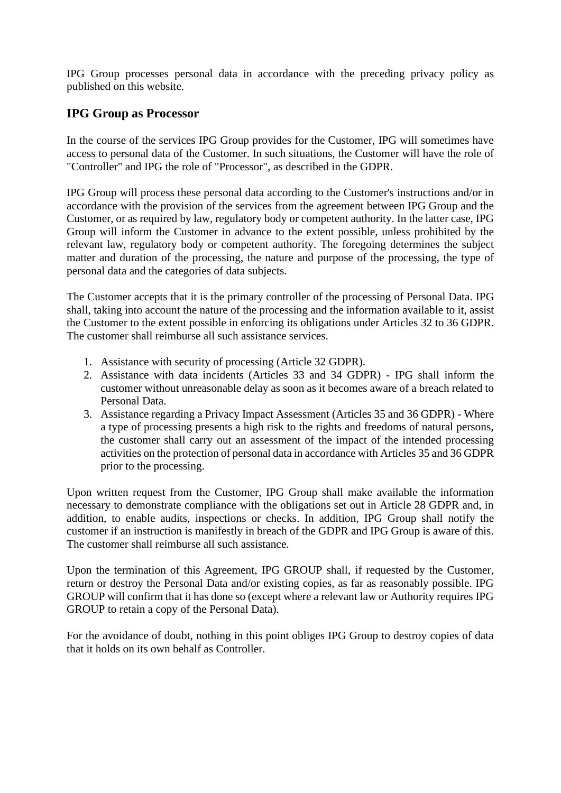IPG Group processes personal data in accordance with the preceding privacy policy as published on this website.

### **IPG Group as Processor**

In the course of the services IPG Group provides for the Customer, IPG will sometimes have access to personal data of the Customer. In such situations, the Customer will have the role of "Controller" and IPG the role of "Processor", as described in the GDPR.

IPG Group will process these personal data according to the Customer's instructions and/or in accordance with the provision of the services from the agreement between IPG Group and the Customer, or as required by law, regulatory body or competent authority. In the latter case, IPG Group will inform the Customer in advance to the extent possible, unless prohibited by the relevant law, regulatory body or competent authority. The foregoing determines the subject matter and duration of the processing, the nature and purpose of the processing, the type of personal data and the categories of data subjects.

The Customer accepts that it is the primary controller of the processing of Personal Data. IPG shall, taking into account the nature of the processing and the information available to it, assist the Customer to the extent possible in enforcing its obligations under Articles 32 to 36 GDPR. The customer shall reimburse all such assistance services.

- 1. Assistance with security of processing (Article 32 GDPR).
- 2. Assistance with data incidents (Articles 33 and 34 GDPR) IPG shall inform the customer without unreasonable delay as soon as it becomes aware of a breach related to Personal Data.
- 3. Assistance regarding a Privacy Impact Assessment (Articles 35 and 36 GDPR) Where a type of processing presents a high risk to the rights and freedoms of natural persons, the customer shall carry out an assessment of the impact of the intended processing activities on the protection of personal data in accordance with Articles 35 and 36 GDPR prior to the processing.

Upon written request from the Customer, IPG Group shall make available the information necessary to demonstrate compliance with the obligations set out in Article 28 GDPR and, in addition, to enable audits, inspections or checks. In addition, IPG Group shall notify the customer if an instruction is manifestly in breach of the GDPR and IPG Group is aware of this. The customer shall reimburse all such assistance.

Upon the termination of this Agreement, IPG GROUP shall, if requested by the Customer, return or destroy the Personal Data and/or existing copies, as far as reasonably possible. IPG GROUP will confirm that it has done so (except where a relevant law or Authority requires IPG GROUP to retain a copy of the Personal Data).

For the avoidance of doubt, nothing in this point obliges IPG Group to destroy copies of data that it holds on its own behalf as Controller.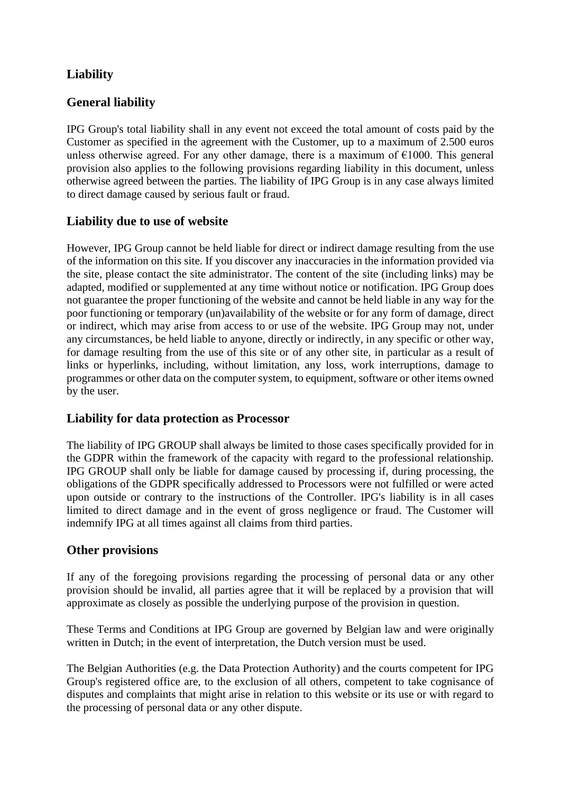# **Liability**

# **General liability**

IPG Group's total liability shall in any event not exceed the total amount of costs paid by the Customer as specified in the agreement with the Customer, up to a maximum of 2.500 euros unless otherwise agreed. For any other damage, there is a maximum of  $\epsilon$ 1000. This general provision also applies to the following provisions regarding liability in this document, unless otherwise agreed between the parties. The liability of IPG Group is in any case always limited to direct damage caused by serious fault or fraud.

### **Liability due to use of website**

However, IPG Group cannot be held liable for direct or indirect damage resulting from the use of the information on this site. If you discover any inaccuracies in the information provided via the site, please contact the site administrator. The content of the site (including links) may be adapted, modified or supplemented at any time without notice or notification. IPG Group does not guarantee the proper functioning of the website and cannot be held liable in any way for the poor functioning or temporary (un)availability of the website or for any form of damage, direct or indirect, which may arise from access to or use of the website. IPG Group may not, under any circumstances, be held liable to anyone, directly or indirectly, in any specific or other way, for damage resulting from the use of this site or of any other site, in particular as a result of links or hyperlinks, including, without limitation, any loss, work interruptions, damage to programmes or other data on the computer system, to equipment, software or other items owned by the user.

## **Liability for data protection as Processor**

The liability of IPG GROUP shall always be limited to those cases specifically provided for in the GDPR within the framework of the capacity with regard to the professional relationship. IPG GROUP shall only be liable for damage caused by processing if, during processing, the obligations of the GDPR specifically addressed to Processors were not fulfilled or were acted upon outside or contrary to the instructions of the Controller. IPG's liability is in all cases limited to direct damage and in the event of gross negligence or fraud. The Customer will indemnify IPG at all times against all claims from third parties.

#### **Other provisions**

If any of the foregoing provisions regarding the processing of personal data or any other provision should be invalid, all parties agree that it will be replaced by a provision that will approximate as closely as possible the underlying purpose of the provision in question.

These Terms and Conditions at IPG Group are governed by Belgian law and were originally written in Dutch; in the event of interpretation, the Dutch version must be used.

The Belgian Authorities (e.g. the Data Protection Authority) and the courts competent for IPG Group's registered office are, to the exclusion of all others, competent to take cognisance of disputes and complaints that might arise in relation to this website or its use or with regard to the processing of personal data or any other dispute.